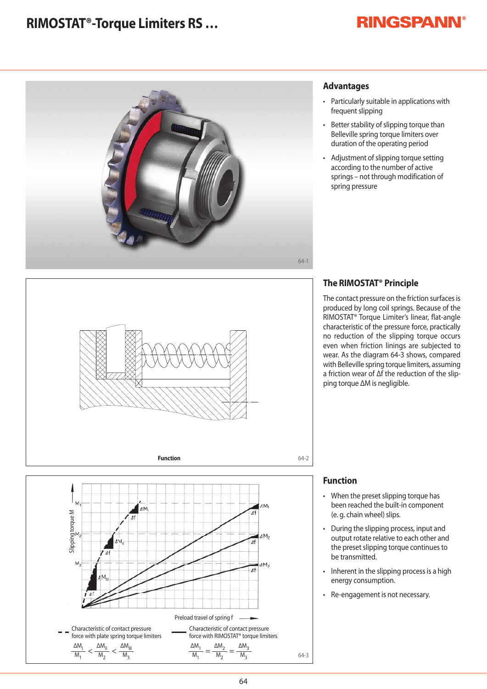## **RIMOSTAT®-Torque Limiters RS …**

# **RINGSPANN®**







## **Advantages**

- Particularly suitable in applications with frequent slipping
- Better stability of slipping torque than Belleville spring torque limiters over duration of the operating period
- Adjustment of slipping torque setting according to the number of active springs – not through modification of spring pressure

## **The RIMOSTAT® Principle**

The contact pressure on the friction surfaces is produced by long coil springs. Because of the RIMOSTAT® Torque Limiter's linear, flat-angle characteristic of the pressure force, practically no reduction of the slipping torque occurs even when friction linings are subjected to wear. As the diagram 64-3 shows, compared with Belleville spring torque limiters, assuming a friction wear of Δf the reduction of the slipping torque ΔM is negligible.

## **Function**

- When the preset slipping torque has been reached the built-in component (e. g. chain wheel) slips.
- During the slipping process, input and output rotate relative to each other and the preset slipping torque continues to be transmitted.
- Inherent in the slipping process is a high energy consumption.
- Re-engagement is not necessary.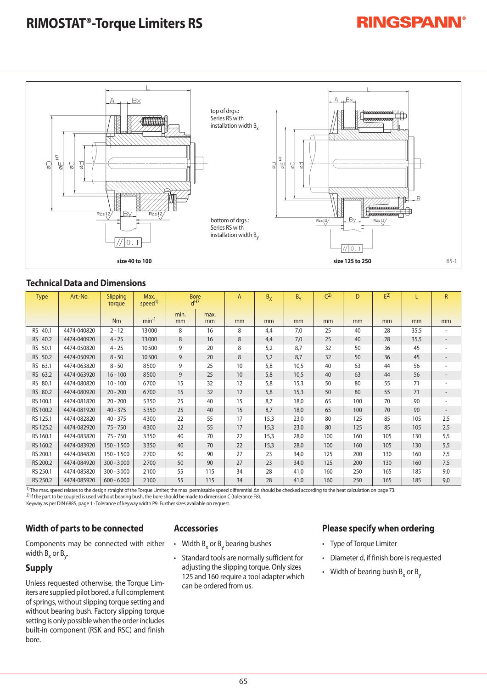## **RIMOSTAT®-Torque Limiters RS**



## **Technical Data and Dimensions**

| <b>Type</b>       | Art.-No.    | Slipping<br>torque | Max.<br>speed <sup>1)</sup> | <b>Bore</b><br>d <sup>H7</sup> |            | $\overline{A}$ | $B_X$ | $B_v$ | C <sup>2</sup> | D   | E <sup>2</sup> |      | R                        |
|-------------------|-------------|--------------------|-----------------------------|--------------------------------|------------|----------------|-------|-------|----------------|-----|----------------|------|--------------------------|
|                   |             | <b>Nm</b>          | $min-1$                     | min.<br>mm                     | max.<br>mm | mm             | mm    | mm    | mm             | mm  | mm             | mm   | mm                       |
| RS 40.1           | 4474-040820 | $2 - 12$           | 13000                       | 8                              | 16         | 8              | 4,4   | 7,0   | 25             | 40  | 28             | 35,5 | ٠                        |
| RS 40.2           | 4474-040920 | $4 - 25$           | 13000                       | 8                              | 16         | 8              | 4,4   | 7,0   | 25             | 40  | 28             | 35,5 | $\sim$                   |
| <b>RS</b><br>50.1 | 4474-050820 | $4 - 25$           | 10500                       | 9                              | 20         | 8              | 5,2   | 8,7   | 32             | 50  | 36             | 45   | ۰                        |
| 50.2<br><b>RS</b> | 4474-050920 | $8 - 50$           | 10500                       | 9                              | 20         | 8              | 5,2   | 8.7   | 32             | 50  | 36             | 45   | $\overline{\phantom{a}}$ |
| RS 63.1           | 4474-063820 | $8 - 50$           | 8500                        | 9                              | 25         | 10             | 5,8   | 10,5  | 40             | 63  | 44             | 56   |                          |
| RS 63.2           | 4474-063920 | $16 - 100$         | 8500                        | 9                              | 25         | 10             | 5,8   | 10,5  | 40             | 63  | 44             | 56   | ۰                        |
| RS 80.1           | 4474-080820 | $10 - 100$         | 6700                        | 15                             | 32         | 12             | 5,8   | 15,3  | 50             | 80  | 55             | 71   | ٠                        |
| RS 80.2           | 4474-080920 | $20 - 200$         | 6700                        | 15                             | 32         | 12             | 5,8   | 15,3  | 50             | 80  | 55             | 71   | ۰                        |
| RS 100.1          | 4474-081820 | $20 - 200$         | 5350                        | 25                             | 40         | 15             | 8,7   | 18,0  | 65             | 100 | 70             | 90   | ۰                        |
| RS 100.2          | 4474-081920 | $40 - 375$         | 5350                        | 25                             | 40         | 15             | 8,7   | 18,0  | 65             | 100 | 70             | 90   |                          |
| RS 125.1          | 4474-082820 | $40 - 375$         | 4300                        | 22                             | 55         | 17             | 15,3  | 23,0  | 80             | 125 | 85             | 105  | 2,5                      |
| RS 125.2          | 4474-082920 | $75 - 750$         | 4300                        | 22                             | 55         | 17             | 15,3  | 23,0  | 80             | 125 | 85             | 105  | 2,5                      |
| RS 160.1          | 4474-083820 | $75 - 750$         | 3350                        | 40                             | 70         | 22             | 15,3  | 28,0  | 100            | 160 | 105            | 130  | 5,5                      |
| RS 160.2          | 4474-083920 | $150 - 1500$       | 3350                        | 40                             | 70         | 22             | 15,3  | 28,0  | 100            | 160 | 105            | 130  | 5,5                      |
| RS 200.1          | 4474-084820 | 150 - 1500         | 2700                        | 50                             | 90         | 27             | 23    | 34,0  | 125            | 200 | 130            | 160  | 7,5                      |
| RS 200.2          | 4474-084920 | $300 - 3000$       | 2700                        | 50                             | 90         | 27             | 23    | 34,0  | 125            | 200 | 130            | 160  | 7,5                      |
| RS 250.1          | 4474-085820 | $300 - 3000$       | 2100                        | 55                             | 115        | 34             | 28    | 41,0  | 160            | 250 | 165            | 185  | 9,0                      |
| RS 250.2          | 4474-085920 | $600 - 6000$       | 2100                        | 55                             | 115        | 34             | 28    | 41,0  | 160            | 250 | 165            | 185  | 9,0                      |

1) The max. speed relates to the design straight of the Torque Limiter; the max. permissable speed differential Δn should be checked according to the heat calculation on page 73.

2) If the part to be coupled is used without bearing bush, the bore should be made to dimension C (tolerance F8).

Keyway as per DIN 6885, page 1 · Tolerance of keyway width P9. Further sizes available on request.

### **Width of parts to be connected**

Components may be connected with either width B<sub>x</sub> or B<sub>y</sub>.

## **Supply**

Unless requested otherwise, the Torque Limiters are supplied pilot bored, a full complement of springs, without slipping torque setting and without bearing bush. Factory slipping torque setting is only possible when the order includes built-in component (RSK and RSC) and finish bore.

## **Accessories**

- Width  $B_x$  or  $B_y$  bearing bushes
- Standard tools are normally sufficient for adjusting the slipping torque. Only sizes 125 and 160 require a tool adapter which can be ordered from us.

## **Please specify when ordering**

**RINGSPANN®** 

- Type of Torque Limiter
- Diameter d, if finish bore is requested
- Width of bearing bush  $B_x$  or  $B_y$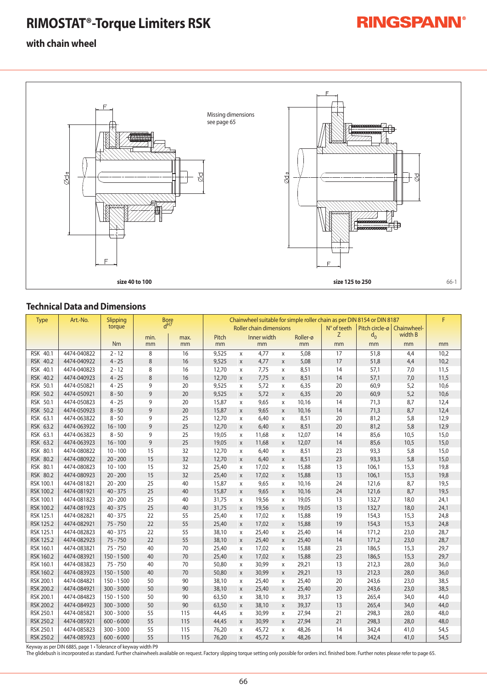# **RIMOSTAT®-Torque Limiters RSK**

# **RINGSPANN®**

## **with chain wheel**



## **Technical Data and Dimensions**

| <b>Type</b>      | Art.-No.    | Slipping     | <b>Bore</b><br>d <sup>H7</sup> |            | Chainwheel suitable for simple roller chain as per DIN 8154 or DIN 8187 |              |                   |   |                           |                |                                 |      |      |  |
|------------------|-------------|--------------|--------------------------------|------------|-------------------------------------------------------------------------|--------------|-------------------|---|---------------------------|----------------|---------------------------------|------|------|--|
|                  |             | torque       |                                |            | Roller chain dimensions                                                 |              |                   |   | $N^{\circ}$ of teeth<br>Z | Pitch circle-ø | Chainwheel-<br>width B<br>$d_0$ |      |      |  |
|                  |             | <b>Nm</b>    | min.<br>mm                     | max.<br>mm | Pitch<br>mm                                                             |              | Inner width<br>mm |   | Roller-ø<br>mm            | mm             | mm                              | mm   | mm   |  |
|                  | 4474-040822 | $2 - 12$     |                                | 16         |                                                                         |              |                   |   |                           | 17             |                                 |      |      |  |
| RSK 40.1         |             |              | 8                              |            | 9,525                                                                   | X            | 4,77              | X | 5,08                      |                | 51,8                            | 4,4  | 10,2 |  |
| RSK 40.2         | 4474-040922 | $4 - 25$     | 8                              | 16         | 9,525                                                                   | $\mathsf{X}$ | 4,77              | X | 5,08                      | 17             | 51,8                            | 4,4  | 10,2 |  |
| RSK 40.1         | 4474-040823 | $2 - 12$     | 8                              | 16         | 12,70                                                                   | X            | 7,75              | X | 8,51                      | 14             | 57,1                            | 7,0  | 11,5 |  |
| RSK 40.2         | 4474-040923 | $4 - 25$     | 8                              | 16         | 12,70                                                                   | X            | 7,75              | X | 8,51                      | 14             | 57,1                            | 7,0  | 11,5 |  |
| RSK 50.1         | 4474-050821 | $4 - 25$     | 9                              | 20         | 9,525                                                                   | X            | 5,72              | X | 6,35                      | 20             | 60,9                            | 5,2  | 10,6 |  |
| RSK 50.2         | 4474-050921 | $8 - 50$     | 9                              | 20         | 9,525                                                                   | X            | 5,72              | X | 6,35                      | 20             | 60,9                            | 5,2  | 10,6 |  |
| RSK 50.1         | 4474-050823 | $4 - 25$     | 9                              | 20         | 15,87                                                                   | X            | 9,65              | X | 10,16                     | 14             | 71,3                            | 8,7  | 12,4 |  |
| RSK 50.2         | 4474-050923 | $8 - 50$     | 9                              | 20         | 15,87                                                                   | X            | 9,65              | X | 10,16                     | 14             | 71,3                            | 8,7  | 12,4 |  |
| RSK 63.1         | 4474-063822 | $8 - 50$     | 9                              | 25         | 12,70                                                                   | X            | 6,40              | X | 8,51                      | 20             | 81,2                            | 5,8  | 12,9 |  |
| RSK 63.2         | 4474-063922 | $16 - 100$   | 9                              | 25         | 12,70                                                                   | $\mathsf{X}$ | 6,40              | X | 8,51                      | 20             | 81,2                            | 5,8  | 12,9 |  |
| RSK 63.1         | 4474-063823 | $8 - 50$     | 9                              | 25         | 19,05                                                                   | X            | 11,68             | X | 12,07                     | 14             | 85,6                            | 10,5 | 15,0 |  |
| RSK 63.2         | 4474-063923 | $16 - 100$   | 9                              | 25         | 19,05                                                                   | X            | 11,68             | X | 12,07                     | 14             | 85,6                            | 10,5 | 15,0 |  |
| RSK 80.1         | 4474-080822 | $10 - 100$   | 15                             | 32         | 12,70                                                                   | X            | 6,40              | X | 8,51                      | 23             | 93,3                            | 5,8  | 15,0 |  |
| RSK 80.2         | 4474-080922 | $20 - 200$   | 15                             | 32         | 12,70                                                                   | X            | 6,40              | X | 8,51                      | 23             | 93,3                            | 5,8  | 15,0 |  |
| RSK 80.1         | 4474-080823 | $10 - 100$   | 15                             | 32         | 25,40                                                                   | X            | 17,02             | X | 15,88                     | 13             | 106,1                           | 15,3 | 19,8 |  |
| RSK 80.2         | 4474-080923 | $20 - 200$   | 15                             | 32         | 25,40                                                                   | X            | 17,02             | X | 15,88                     | 13             | 106,1                           | 15,3 | 19,8 |  |
| RSK 100.1        | 4474-081821 | $20 - 200$   | 25                             | 40         | 15,87                                                                   | X            | 9,65              | X | 10,16                     | 24             | 121,6                           | 8,7  | 19,5 |  |
| <b>RSK 100.2</b> | 4474-081921 | $40 - 375$   | 25                             | 40         | 15,87                                                                   | X            | 9,65              | X | 10,16                     | 24             | 121,6                           | 8,7  | 19,5 |  |
| RSK 100.1        | 4474-081823 | $20 - 200$   | 25                             | 40         | 31,75                                                                   | X            | 19,56             | X | 19,05                     | 13             | 132,7                           | 18,0 | 24,1 |  |
| <b>RSK 100.2</b> | 4474-081923 | $40 - 375$   | 25                             | 40         | 31,75                                                                   | X            | 19,56             | X | 19,05                     | 13             | 132,7                           | 18,0 | 24,1 |  |
| RSK 125.1        | 4474-082821 | $40 - 375$   | 22                             | 55         | 25,40                                                                   | X            | 17,02             | X | 15,88                     | 19             | 154,3                           | 15,3 | 24,8 |  |
| <b>RSK 125.2</b> | 4474-082921 | $75 - 750$   | 22                             | 55         | 25,40                                                                   | $\mathsf{X}$ | 17,02             | X | 15,88                     | 19             | 154,3                           | 15,3 | 24,8 |  |
| RSK 125.1        | 4474-082823 | $40 - 375$   | 22                             | 55         | 38,10                                                                   | X            | 25,40             | X | 25,40                     | 14             | 171,2                           | 23,0 | 28,7 |  |
| <b>RSK 125.2</b> | 4474-082923 | $75 - 750$   | 22                             | 55         | 38,10                                                                   | $\mathsf{X}$ | 25,40             | X | 25,40                     | 14             | 171,2                           | 23,0 | 28,7 |  |
| RSK 160.1        | 4474-083821 | $75 - 750$   | 40                             | 70         | 25,40                                                                   | X            | 17,02             | X | 15,88                     | 23             | 186,5                           | 15,3 | 29,7 |  |
| RSK 160.2        | 4474-083921 | $150 - 1500$ | 40                             | 70         | 25,40                                                                   | X            | 17,02             | X | 15,88                     | 23             | 186,5                           | 15,3 | 29,7 |  |
| RSK 160.1        | 4474-083823 | $75 - 750$   | 40                             | 70         | 50,80                                                                   | X            | 30,99             | X | 29,21                     | 13             | 212,3                           | 28,0 | 36,0 |  |
| <b>RSK 160.2</b> | 4474-083923 | $150 - 1500$ | 40                             | 70         | 50,80                                                                   | $\mathsf{X}$ | 30,99             | X | 29,21                     | 13             | 212,3                           | 28,0 | 36,0 |  |
| RSK 200.1        | 4474-084821 | $150 - 1500$ | 50                             | 90         | 38,10                                                                   | X            | 25,40             | X | 25,40                     | 20             | 243,6                           | 23,0 | 38,5 |  |
| <b>RSK 200.2</b> | 4474-084921 | $300 - 3000$ | 50                             | 90         | 38,10                                                                   | X            | 25,40             | X | 25,40                     | 20             | 243,6                           | 23,0 | 38,5 |  |
| RSK 200.1        | 4474-084823 | $150 - 1500$ | 50                             | 90         | 63,50                                                                   | X            | 38,10             | X | 39,37                     | 13             | 265,4                           | 34,0 | 44,0 |  |
| <b>RSK 200.2</b> | 4474-084923 | $300 - 3000$ | 50                             | 90         | 63,50                                                                   | X            | 38,10             | X | 39,37                     | 13             | 265,4                           | 34,0 | 44,0 |  |
| RSK 250.1        | 4474-085821 | $300 - 3000$ | 55                             | 115        | 44,45                                                                   | X            | 30,99             | X | 27,94                     | 21             | 298,3                           | 28,0 | 48,0 |  |
| <b>RSK 250.2</b> | 4474-085921 | $600 - 6000$ | 55                             | 115        | 44,45                                                                   | $\mathsf{X}$ | 30,99             | X | 27,94                     | 21             | 298,3                           | 28,0 | 48,0 |  |
| RSK 250.1        | 4474-085823 | $300 - 3000$ | 55                             | 115        | 76,20                                                                   | X            | 45,72             | X | 48,26                     | 14             | 342,4                           | 41,0 | 54,5 |  |
| <b>RSK 250.2</b> | 4474-085923 | $600 - 6000$ | 55                             | 115        | 76,20                                                                   | $\mathsf{X}$ | 45,72             | X | 48,26                     | 14             | 342,4                           | 41,0 | 54,5 |  |

Keyway as per DIN 6885, page 1 • Tolerance of keyway width P9 The glidebush is incorporated as standard. Further chainwheels available on request. Factory slipping torque setting only possible for orders incl. finished bore. Further notes please refer to page 65.